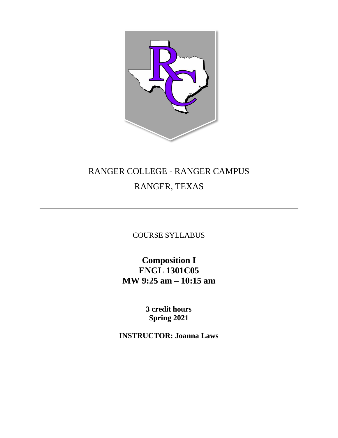

# RANGER COLLEGE - RANGER CAMPUS RANGER, TEXAS

COURSE SYLLABUS

**Composition I ENGL 1301C05 MW 9:25 am – 10:15 am**

> **3 credit hours Spring 2021**

**INSTRUCTOR: Joanna Laws**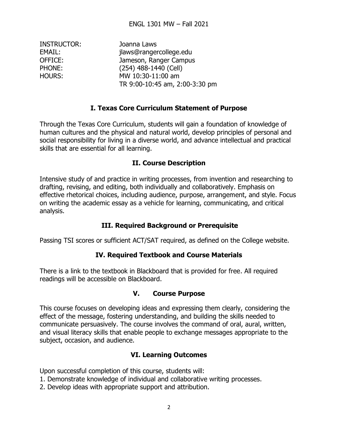| Joanna Laws                    |
|--------------------------------|
| jlaws@rangercollege.edu        |
| Jameson, Ranger Campus         |
| (254) 488-1440 (Cell)          |
| MW 10:30-11:00 am              |
| TR 9:00-10:45 am, 2:00-3:30 pm |
|                                |

#### **I. Texas Core Curriculum Statement of Purpose**

Through the Texas Core Curriculum, students will gain a foundation of knowledge of human cultures and the physical and natural world, develop principles of personal and social responsibility for living in a diverse world, and advance intellectual and practical skills that are essential for all learning.

#### **II. Course Description**

Intensive study of and practice in writing processes, from invention and researching to drafting, revising, and editing, both individually and collaboratively. Emphasis on effective rhetorical choices, including audience, purpose, arrangement, and style. Focus on writing the academic essay as a vehicle for learning, communicating, and critical analysis.

## **III. Required Background or Prerequisite**

Passing TSI scores or sufficient ACT/SAT required, as defined on the College website.

#### **IV. Required Textbook and Course Materials**

There is a link to the textbook in Blackboard that is provided for free. All required readings will be accessible on Blackboard.

#### **V. Course Purpose**

This course focuses on developing ideas and expressing them clearly, considering the effect of the message, fostering understanding, and building the skills needed to communicate persuasively. The course involves the command of oral, aural, written, and visual literacy skills that enable people to exchange messages appropriate to the subject, occasion, and audience.

#### **VI. Learning Outcomes**

Upon successful completion of this course, students will:

- 1. Demonstrate knowledge of individual and collaborative writing processes.
- 2. Develop ideas with appropriate support and attribution.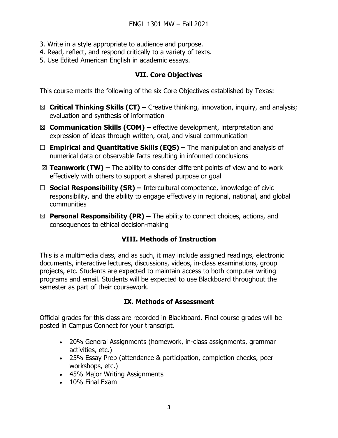- 3. Write in a style appropriate to audience and purpose.
- 4. Read, reflect, and respond critically to a variety of texts.
- 5. Use Edited American English in academic essays.

## **VII. Core Objectives**

This course meets the following of the six Core Objectives established by Texas:

- ☒ **Critical Thinking Skills (CT) –** Creative thinking, innovation, inquiry, and analysis; evaluation and synthesis of information
- ☒ **Communication Skills (COM) –** effective development, interpretation and expression of ideas through written, oral, and visual communication
- ☐ **Empirical and Quantitative Skills (EQS) –** The manipulation and analysis of numerical data or observable facts resulting in informed conclusions
- ☒ **Teamwork (TW) –** The ability to consider different points of view and to work effectively with others to support a shared purpose or goal
- ☐ **Social Responsibility (SR) –** Intercultural competence, knowledge of civic responsibility, and the ability to engage effectively in regional, national, and global communities
- ☒ **Personal Responsibility (PR) –** The ability to connect choices, actions, and consequences to ethical decision-making

# **VIII. Methods of Instruction**

This is a multimedia class, and as such, it may include assigned readings, electronic documents, interactive lectures, discussions, videos, in-class examinations, group projects, etc. Students are expected to maintain access to both computer writing programs and email. Students will be expected to use Blackboard throughout the semester as part of their coursework.

## **IX. Methods of Assessment**

Official grades for this class are recorded in Blackboard. Final course grades will be posted in Campus Connect for your transcript.

- 20% General Assignments (homework, in-class assignments, grammar activities, etc.)
- 25% Essay Prep (attendance & participation, completion checks, peer workshops, etc.)
- 45% Major Writing Assignments
- 10% Final Exam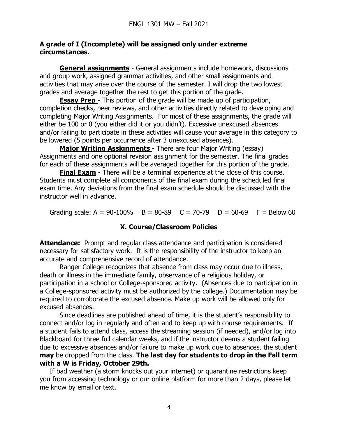#### **A grade of I (Incomplete) will be assigned only under extreme circumstances.**

**General assignments** - General assignments include homework, discussions and group work, assigned grammar activities, and other small assignments and activities that may arise over the course of the semester. I will drop the two lowest grades and average together the rest to get this portion of the grade.

**Essay Prep** - This portion of the grade will be made up of participation, completion checks, peer reviews, and other activities directly related to developing and completing Major Writing Assignments. For most of these assignments, the grade will either be 100 or 0 (you either did it or you didn't). Excessive unexcused absences and/or failing to participate in these activities will cause your average in this category to be lowered (5 points per occurrence after 3 unexcused absences).

**Major Writing Assignments** - There are four Major Writing (essay) Assignments and one optional revision assignment for the semester. The final grades for each of these assignments will be averaged together for this portion of the grade.

**Final Exam** - There will be a terminal experience at the close of this course. Students must complete all components of the final exam during the scheduled final exam time. Any deviations from the final exam schedule should be discussed with the instructor well in advance.

Grading scale:  $A = 90-100\%$  B = 80-89 C = 70-79 D = 60-69 F = Below 60

## **X. Course/Classroom Policies**

**Attendance:** Prompt and regular class attendance and participation is considered necessary for satisfactory work. It is the responsibility of the instructor to keep an accurate and comprehensive record of attendance.

Ranger College recognizes that absence from class may occur due to illness, death or illness in the immediate family, observance of a religious holiday, or participation in a school or College-sponsored activity. (Absences due to participation in a College-sponsored activity must be authorized by the college.) Documentation may be required to corroborate the excused absence. Make up work will be allowed only for excused absences.

Since deadlines are published ahead of time, it is the student's responsibility to connect and/or log in regularly and often and to keep up with course requirements. If a student fails to attend class, access the streaming session (if needed), and/or log into Blackboard for three full calendar weeks, and if the instructor deems a student failing due to excessive absences and/or failure to make up work due to absences, the student **may** be dropped from the class. **The last day for students to drop in the Fall term with a W is Friday, October 29th.**

If bad weather (a storm knocks out your internet) or quarantine restrictions keep you from accessing technology or our online platform for more than 2 days, please let me know by email or text.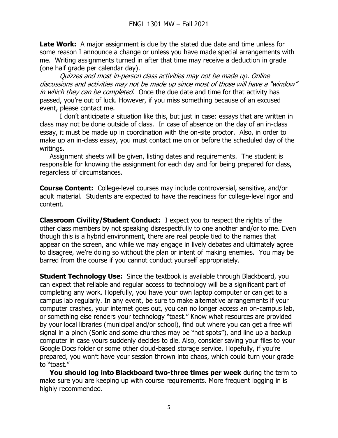**Late Work:** A major assignment is due by the stated due date and time unless for some reason I announce a change or unless you have made special arrangements with me. Writing assignments turned in after that time may receive a deduction in grade (one half grade per calendar day).

Quizzes and most in-person class activities may not be made up. Online discussions and activities may not be made up since most of those will have a "window" in which they can be completed. Once the due date and time for that activity has passed, you're out of luck. However, if you miss something because of an excused event, please contact me.

I don't anticipate a situation like this, but just in case: essays that are written in class may not be done outside of class. In case of absence on the day of an in-class essay, it must be made up in coordination with the on-site proctor. Also, in order to make up an in-class essay, you must contact me on or before the scheduled day of the writings.

Assignment sheets will be given, listing dates and requirements. The student is responsible for knowing the assignment for each day and for being prepared for class, regardless of circumstances.

**Course Content:** College-level courses may include controversial, sensitive, and/or adult material. Students are expected to have the readiness for college-level rigor and content.

**Classroom Civility/Student Conduct:** I expect you to respect the rights of the other class members by not speaking disrespectfully to one another and/or to me. Even though this is a hybrid environment, there are real people tied to the names that appear on the screen, and while we may engage in lively debates and ultimately agree to disagree, we're doing so without the plan or intent of making enemies. You may be barred from the course if you cannot conduct yourself appropriately.

**Student Technology Use:** Since the textbook is available through Blackboard, you can expect that reliable and regular access to technology will be a significant part of completing any work. Hopefully, you have your own laptop computer or can get to a campus lab regularly. In any event, be sure to make alternative arrangements if your computer crashes, your internet goes out, you can no longer access an on-campus lab, or something else renders your technology "toast." Know what resources are provided by your local libraries (municipal and/or school), find out where you can get a free wifi signal in a pinch (Sonic and some churches may be "hot spots"), and line up a backup computer in case yours suddenly decides to die. Also, consider saving your files to your Google Docs folder or some other cloud-based storage service. Hopefully, if you're prepared, you won't have your session thrown into chaos, which could turn your grade to "toast."

**You should log into Blackboard two-three times per week** during the term to make sure you are keeping up with course requirements. More frequent logging in is highly recommended.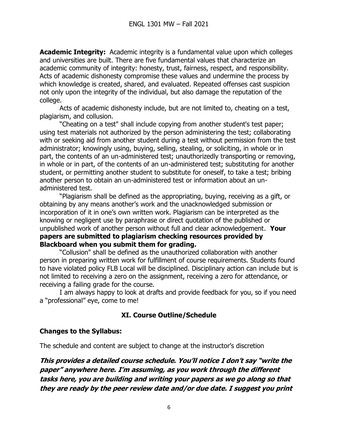**Academic Integrity:** Academic integrity is a fundamental value upon which colleges and universities are built. There are five fundamental values that characterize an academic community of integrity: honesty, trust, fairness, respect, and responsibility. Acts of academic dishonesty compromise these values and undermine the process by which knowledge is created, shared, and evaluated. Repeated offenses cast suspicion not only upon the integrity of the individual, but also damage the reputation of the college.

Acts of academic dishonesty include, but are not limited to, cheating on a test, plagiarism, and collusion.

"Cheating on a test" shall include copying from another student's test paper; using test materials not authorized by the person administering the test; collaborating with or seeking aid from another student during a test without permission from the test administrator; knowingly using, buying, selling, stealing, or soliciting, in whole or in part, the contents of an un-administered test; unauthorizedly transporting or removing, in whole or in part, of the contents of an un-administered test; substituting for another student, or permitting another student to substitute for oneself, to take a test; bribing another person to obtain an un-administered test or information about an unadministered test.

"Plagiarism shall be defined as the appropriating, buying, receiving as a gift, or obtaining by any means another's work and the unacknowledged submission or incorporation of it in one's own written work. Plagiarism can be interpreted as the knowing or negligent use by paraphrase or direct quotation of the published or unpublished work of another person without full and clear acknowledgement. **Your papers are submitted to plagiarism checking resources provided by Blackboard when you submit them for grading.**

"Collusion" shall be defined as the unauthorized collaboration with another person in preparing written work for fulfillment of course requirements. Students found to have violated policy FLB Local will be disciplined. Disciplinary action can include but is not limited to receiving a zero on the assignment, receiving a zero for attendance, or receiving a failing grade for the course.

I am always happy to look at drafts and provide feedback for you, so if you need a "professional" eye, come to me!

## **XI. Course Outline/Schedule**

#### **Changes to the Syllabus:**

The schedule and content are subject to change at the instructor's discretion

**This provides a detailed course schedule. You'll notice I don't say "write the paper" anywhere here. I'm assuming, as you work through the different tasks here, you are building and writing your papers as we go along so that they are ready by the peer review date and/or due date. I suggest you print**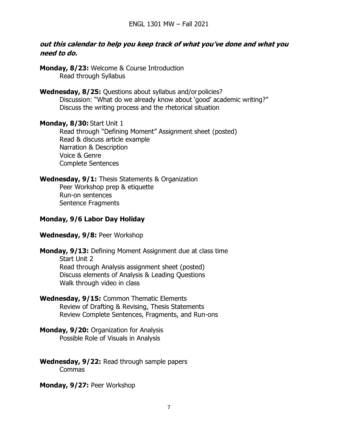#### **out this calendar to help you keep track of what you've done and what you need to do.**

**Monday, 8/23:** Welcome & Course Introduction Read through Syllabus

**Wednesday, 8/25:** Questions about syllabus and/or policies? Discussion: "What do we already know about 'good' academic writing?" Discuss the writing process and the rhetorical situation

**Monday, 8/30:** Start Unit 1

Read through "Defining Moment" Assignment sheet (posted) Read & discuss article example Narration & Description Voice & Genre Complete Sentences

#### **Wednesday, 9/1:** Thesis Statements & Organization

Peer Workshop prep & etiquette Run-on sentences Sentence Fragments

## **Monday, 9/6 Labor Day Holiday**

#### **Wednesday, 9/8:** Peer Workshop

- **Monday, 9/13:** Defining Moment Assignment due at class time Start Unit 2 Read through Analysis assignment sheet (posted) Discuss elements of Analysis & Leading Questions Walk through video in class
- **Wednesday, 9/15:** Common Thematic Elements Review of Drafting & Revising, Thesis Statements Review Complete Sentences, Fragments, and Run-ons
- **Monday, 9/20:** Organization for Analysis Possible Role of Visuals in Analysis
- **Wednesday, 9/22:** Read through sample papers Commas

**Monday, 9/27:** Peer Workshop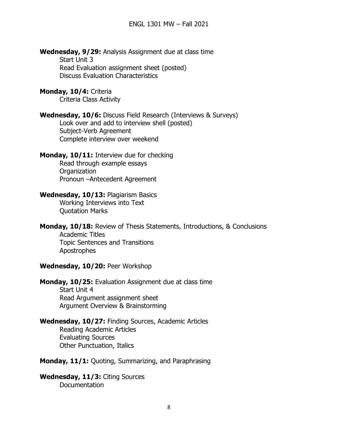**Wednesday, 9/29:** Analysis Assignment due at class time Start Unit 3 Read Evaluation assignment sheet (posted) Discuss Evaluation Characteristics

**Monday, 10/4:** Criteria Criteria Class Activity

**Wednesday, 10/6:** Discuss Field Research (Interviews & Surveys) Look over and add to interview shell (posted) Subject-Verb Agreement Complete interview over weekend

**Monday, 10/11:** Interview due for checking Read through example essays **Organization** Pronoun –Antecedent Agreement 

**Wednesday, 10/13:** Plagiarism Basics Working Interviews into Text Quotation Marks

**Monday, 10/18:** Review of Thesis Statements, Introductions, & Conclusions Academic Titles Topic Sentences and Transitions Apostrophes

**Wednesday, 10/20:** Peer Workshop

**Monday, 10/25:** Evaluation Assignment due at class time Start Unit 4 Read Argument assignment sheet Argument Overview & Brainstorming

**Wednesday, 10/27:** Finding Sources, Academic Articles Reading Academic Articles Evaluating Sources Other Punctuation, Italics

**Monday, 11/1:** Quoting, Summarizing, and Paraphrasing

**Wednesday, 11/3:** Citing Sources Documentation